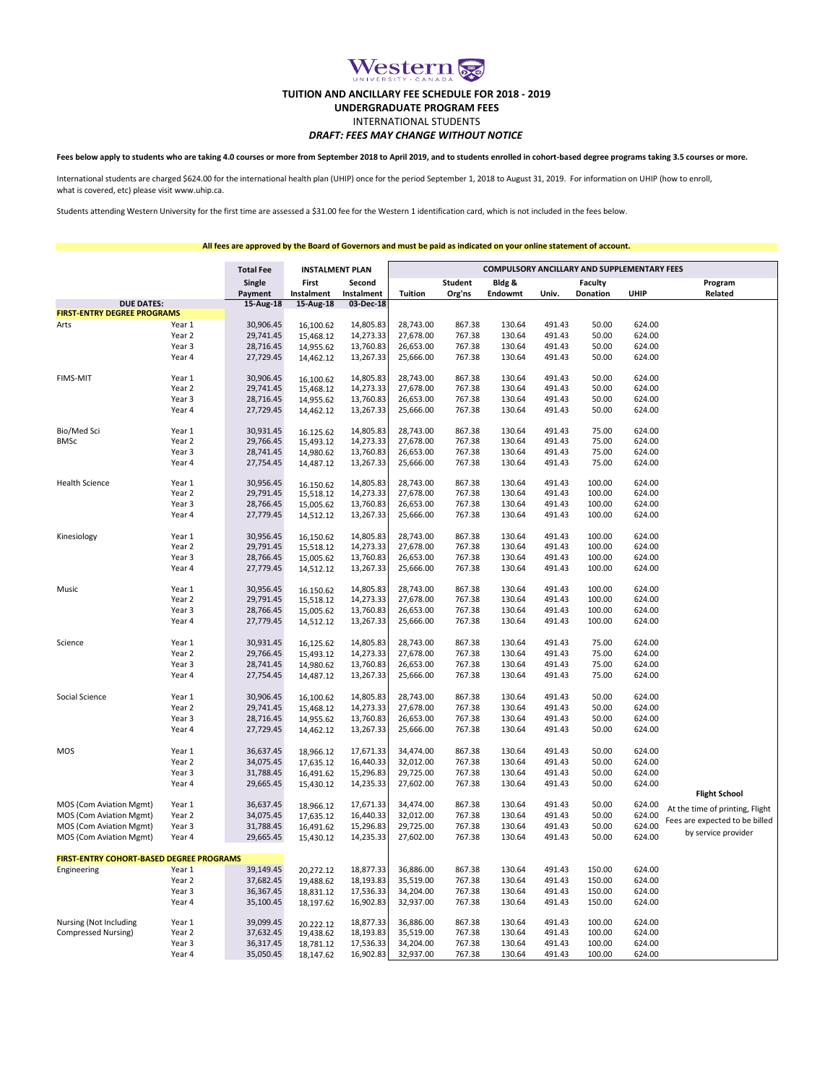

## **TUITION AND ANCILLARY FEE SCHEDULE FOR 2018 - 2019**

**UNDERGRADUATE PROGRAM FEES**

## *DRAFT: FEES MAY CHANGE WITHOUT NOTICE* INTERNATIONAL STUDENTS

**Fees below apply to students who are taking 4.0 courses or more from September 2018 to April 2019, and to students enrolled in cohort-based degree programs taking 3.5 courses or more.**

International students are charged \$624.00 for the international health plan (UHIP) once for the period September 1, 2018 to August 31, 2019. For information on UHIP (how to enroll, what is covered, etc) please visit www.uhip.ca.

Students attending Western University for the first time are assessed a \$31.00 fee for the Western 1 identification card, which is not included in the fees below.

**All fees are approved by the Board of Governors and must be paid as indicated on your online statement of account.**

|                                                 |        | <b>Total Fee</b><br><b>INSTALMENT PLAN</b> |                        |                      | COMPULSORY ANCILLARY AND SUPPLEMENTARY FEES |                          |                   |        |                            |        |                                 |  |
|-------------------------------------------------|--------|--------------------------------------------|------------------------|----------------------|---------------------------------------------|--------------------------|-------------------|--------|----------------------------|--------|---------------------------------|--|
|                                                 |        | Single<br>Payment                          | First<br>Instalment    | Second<br>Instalment | <b>Tuition</b>                              | <b>Student</b><br>Org'ns | Bldg &<br>Endowmt | Univ.  | Faculty<br><b>Donation</b> | UHIP   | Program<br>Related              |  |
| <b>DUE DATES:</b>                               |        | 15-Aug-18                                  | 15-Aug-18              | 03-Dec-18            |                                             |                          |                   |        |                            |        |                                 |  |
| <b>FIRST-ENTRY DEGREE PROGRAMS</b>              |        |                                            |                        |                      |                                             |                          |                   |        |                            |        |                                 |  |
| Arts                                            | Year 1 | 30,906.45                                  | 16,100.62              | 14,805.83            | 28,743.00                                   | 867.38                   | 130.64            | 491.43 | 50.00                      | 624.00 |                                 |  |
|                                                 | Year 2 | 29,741.45                                  | 15,468.12              | 14,273.33            | 27,678.00                                   | 767.38                   | 130.64            | 491.43 | 50.00                      | 624.00 |                                 |  |
|                                                 | Year 3 | 28,716.45                                  | 14,955.62              | 13,760.83            | 26,653.00                                   | 767.38                   | 130.64            | 491.43 | 50.00                      | 624.00 |                                 |  |
|                                                 | Year 4 | 27,729.45                                  | 14,462.12              | 13,267.33            | 25,666.00                                   | 767.38                   | 130.64            | 491.43 | 50.00                      | 624.00 |                                 |  |
| <b>FIMS-MIT</b>                                 | Year 1 | 30,906.45                                  | 16,100.62              | 14,805.83            | 28,743.00                                   | 867.38                   | 130.64            | 491.43 | 50.00                      | 624.00 |                                 |  |
|                                                 | Year 2 | 29,741.45                                  | 15,468.12              | 14,273.33            | 27,678.00                                   | 767.38                   | 130.64            | 491.43 | 50.00                      | 624.00 |                                 |  |
|                                                 | Year 3 | 28,716.45                                  | 14,955.62              | 13,760.83            | 26,653.00                                   | 767.38                   | 130.64            | 491.43 | 50.00                      | 624.00 |                                 |  |
|                                                 | Year 4 | 27,729.45                                  | 14,462.12              | 13,267.33            | 25,666.00                                   | 767.38                   | 130.64            | 491.43 | 50.00                      | 624.00 |                                 |  |
| Bio/Med Sci                                     | Year 1 | 30,931.45                                  | 16.125.62              | 14,805.83            | 28,743.00                                   | 867.38                   | 130.64            | 491.43 | 75.00                      | 624.00 |                                 |  |
| <b>BMSc</b>                                     | Year 2 | 29,766.45                                  | 15,493.12              | 14,273.33            | 27,678.00                                   | 767.38                   | 130.64            | 491.43 | 75.00                      | 624.00 |                                 |  |
|                                                 | Year 3 | 28,741.45                                  | 14,980.62              | 13,760.83            | 26,653.00                                   | 767.38                   | 130.64            | 491.43 | 75.00                      | 624.00 |                                 |  |
|                                                 | Year 4 | 27,754.45                                  | 14,487.12              | 13,267.33            | 25,666.00                                   | 767.38                   | 130.64            | 491.43 | 75.00                      | 624.00 |                                 |  |
| <b>Health Science</b>                           | Year 1 | 30,956.45                                  | 16.150.62              | 14,805.83            | 28,743.00                                   | 867.38                   | 130.64            | 491.43 | 100.00                     | 624.00 |                                 |  |
|                                                 | Year 2 | 29,791.45                                  | 15,518.12              | 14,273.33            | 27,678.00                                   | 767.38                   | 130.64            | 491.43 | 100.00                     | 624.00 |                                 |  |
|                                                 | Year 3 | 28,766.45                                  | 15,005.62              | 13,760.83            | 26,653.00                                   | 767.38                   | 130.64            | 491.43 | 100.00                     | 624.00 |                                 |  |
|                                                 | Year 4 | 27,779.45                                  | 14,512.12              | 13,267.33            | 25,666.00                                   | 767.38                   | 130.64            | 491.43 | 100.00                     | 624.00 |                                 |  |
| Kinesiology                                     | Year 1 | 30,956.45                                  | 16,150.62              | 14,805.83            | 28,743.00                                   | 867.38                   | 130.64            | 491.43 | 100.00                     | 624.00 |                                 |  |
|                                                 | Year 2 | 29,791.45                                  | 15,518.12              | 14,273.33            | 27,678.00                                   | 767.38                   | 130.64            | 491.43 | 100.00                     | 624.00 |                                 |  |
|                                                 | Year 3 | 28,766.45                                  | 15,005.62              | 13,760.83            | 26,653.00                                   | 767.38                   | 130.64            | 491.43 | 100.00                     | 624.00 |                                 |  |
|                                                 | Year 4 | 27,779.45                                  | 14,512.12              | 13,267.33            | 25,666.00                                   | 767.38                   | 130.64            | 491.43 | 100.00                     | 624.00 |                                 |  |
| Music                                           | Year 1 | 30,956.45                                  | 16.150.62              | 14,805.83            | 28,743.00                                   | 867.38                   | 130.64            | 491.43 | 100.00                     | 624.00 |                                 |  |
|                                                 | Year 2 | 29,791.45                                  | 15,518.12              | 14,273.33            | 27,678.00                                   | 767.38                   | 130.64            | 491.43 | 100.00                     | 624.00 |                                 |  |
|                                                 | Year 3 | 28,766.45                                  | 15,005.62              | 13,760.83            | 26,653.00                                   | 767.38                   | 130.64            | 491.43 | 100.00                     | 624.00 |                                 |  |
|                                                 | Year 4 | 27,779.45                                  | 14,512.12              | 13,267.33            | 25,666.00                                   | 767.38                   | 130.64            | 491.43 | 100.00                     | 624.00 |                                 |  |
| Science                                         | Year 1 | 30,931.45                                  | 16,125.62              | 14,805.83            | 28,743.00                                   | 867.38                   | 130.64            | 491.43 | 75.00                      | 624.00 |                                 |  |
|                                                 | Year 2 | 29,766.45                                  | 15,493.12              | 14,273.33            | 27,678.00                                   | 767.38                   | 130.64            | 491.43 | 75.00                      | 624.00 |                                 |  |
|                                                 | Year 3 | 28,741.45                                  | 14,980.62              | 13,760.83            | 26,653.00                                   | 767.38                   | 130.64            | 491.43 | 75.00                      | 624.00 |                                 |  |
|                                                 | Year 4 | 27,754.45                                  | 14,487.12              | 13,267.33            | 25,666.00                                   | 767.38                   | 130.64            | 491.43 | 75.00                      | 624.00 |                                 |  |
| Social Science                                  | Year 1 | 30,906.45                                  | 16,100.62              | 14,805.83            | 28,743.00                                   | 867.38                   | 130.64            | 491.43 | 50.00                      | 624.00 |                                 |  |
|                                                 | Year 2 | 29,741.45                                  | 15,468.12              | 14,273.33            | 27,678.00                                   | 767.38                   | 130.64            | 491.43 | 50.00                      | 624.00 |                                 |  |
|                                                 | Year 3 | 28,716.45                                  | 14,955.62              | 13,760.83            | 26,653.00                                   | 767.38                   | 130.64            | 491.43 | 50.00                      | 624.00 |                                 |  |
|                                                 | Year 4 | 27,729.45                                  | 14,462.12              | 13,267.33            | 25,666.00                                   | 767.38                   | 130.64            | 491.43 | 50.00                      | 624.00 |                                 |  |
|                                                 |        |                                            |                        |                      |                                             |                          |                   |        |                            |        |                                 |  |
| MOS                                             | Year 1 | 36,637.45                                  | 18,966.12              | 17,671.33            | 34,474.00                                   | 867.38                   | 130.64            | 491.43 | 50.00                      | 624.00 |                                 |  |
|                                                 | Year 2 | 34,075.45                                  | 17,635.12              | 16,440.33            | 32,012.00                                   | 767.38                   | 130.64            | 491.43 | 50.00                      | 624.00 |                                 |  |
|                                                 | Year 3 | 31,788.45                                  | 16,491.62              | 15,296.83            | 29,725.00                                   | 767.38                   | 130.64            | 491.43 | 50.00                      | 624.00 |                                 |  |
|                                                 | Year 4 | 29,665.45                                  | 15,430.12              | 14,235.33            | 27,602.00                                   | 767.38                   | 130.64            | 491.43 | 50.00                      | 624.00 | <b>Flight School</b>            |  |
| <b>MOS (Com Aviation Mgmt)</b>                  | Year 1 | 36,637.45                                  |                        | 17,671.33            | 34,474.00                                   | 867.38                   | 130.64            | 491.43 | 50.00                      | 624.00 |                                 |  |
| MOS (Com Aviation Mgmt)                         | Year 2 | 34,075.45                                  | 18,966.12<br>17,635.12 | 16,440.33            | 32,012.00                                   | 767.38                   | 130.64            | 491.43 | 50.00                      | 624.00 | At the time of printing, Flight |  |
| MOS (Com Aviation Mgmt)                         | Year 3 | 31,788.45                                  | 16,491.62              | 15,296.83            | 29,725.00                                   | 767.38                   | 130.64            | 491.43 | 50.00                      | 624.00 | Fees are expected to be billed  |  |
| MOS (Com Aviation Mgmt)                         | Year 4 | 29,665.45                                  | 15,430.12              | 14,235.33            | 27,602.00                                   | 767.38                   | 130.64            | 491.43 | 50.00                      | 624.00 | by service provider             |  |
| <b>FIRST-ENTRY COHORT-BASED DEGREE PROGRAMS</b> |        |                                            |                        |                      |                                             |                          |                   |        |                            |        |                                 |  |
| Engineering                                     | Year 1 | 39,149.45                                  | 20,272.12              | 18,877.33            | 36,886.00                                   | 867.38                   | 130.64            | 491.43 | 150.00                     | 624.00 |                                 |  |
|                                                 | Year 2 | 37,682.45                                  | 19,488.62              | 18,193.83            | 35,519.00                                   | 767.38                   | 130.64            | 491.43 | 150.00                     | 624.00 |                                 |  |
|                                                 | Year 3 | 36,367.45                                  | 18,831.12              | 17,536.33            | 34,204.00                                   | 767.38                   | 130.64            | 491.43 | 150.00                     | 624.00 |                                 |  |
|                                                 | Year 4 | 35,100.45                                  | 18,197.62              | 16,902.83            | 32,937.00                                   | 767.38                   | 130.64            | 491.43 | 150.00                     | 624.00 |                                 |  |
| Nursing (Not Including                          | Year 1 | 39,099.45                                  |                        | 18,877.33            | 36,886.00                                   | 867.38                   | 130.64            | 491.43 | 100.00                     | 624.00 |                                 |  |
| Compressed Nursing)                             | Year 2 | 37,632.45                                  | 20.222.12<br>19,438.62 | 18,193.83            | 35,519.00                                   | 767.38                   | 130.64            | 491.43 | 100.00                     | 624.00 |                                 |  |
|                                                 | Year 3 | 36,317.45                                  | 18,781.12              | 17,536.33            | 34,204.00                                   | 767.38                   | 130.64            | 491.43 | 100.00                     | 624.00 |                                 |  |
|                                                 | Year 4 | 35,050.45                                  | 18,147.62              | 16,902.83            | 32,937.00                                   | 767.38                   | 130.64            | 491.43 | 100.00                     | 624.00 |                                 |  |